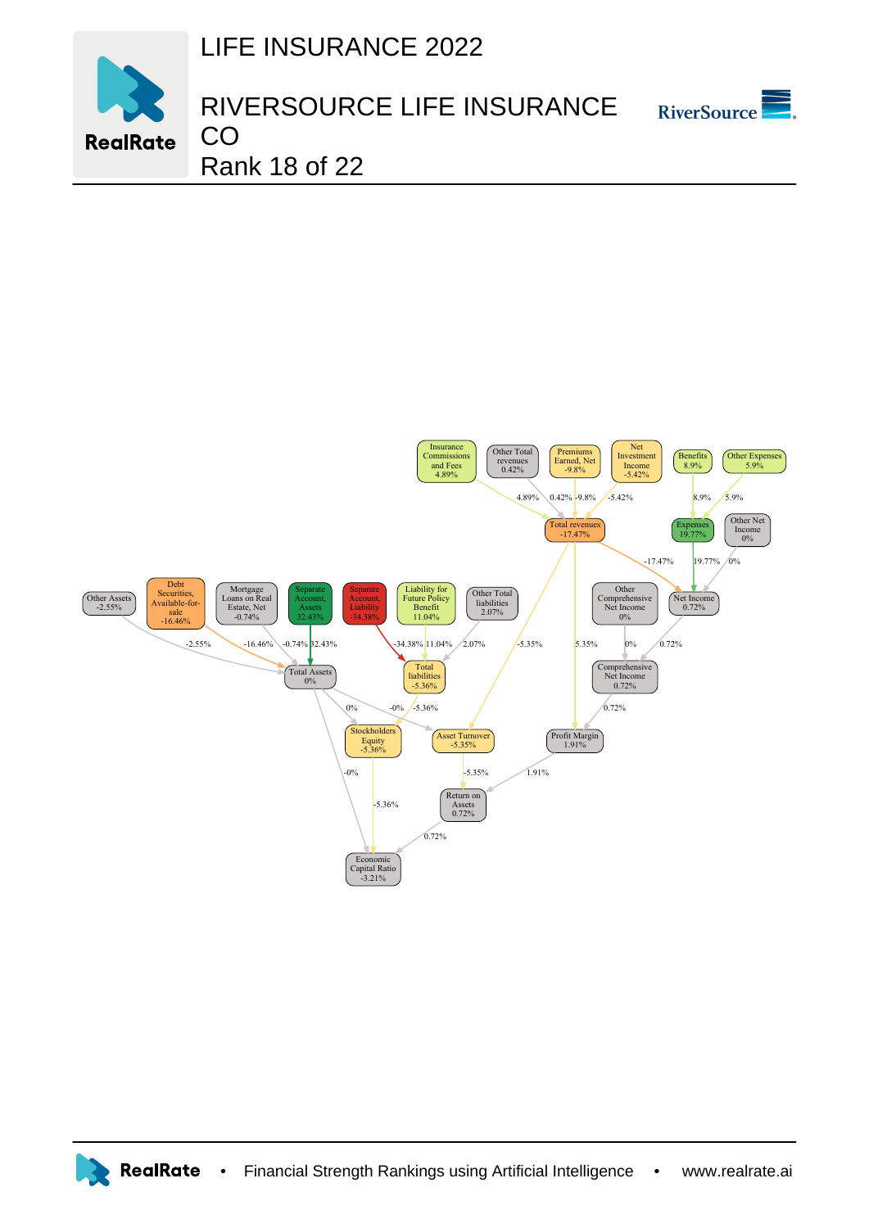LIFE INSURANCE 2022